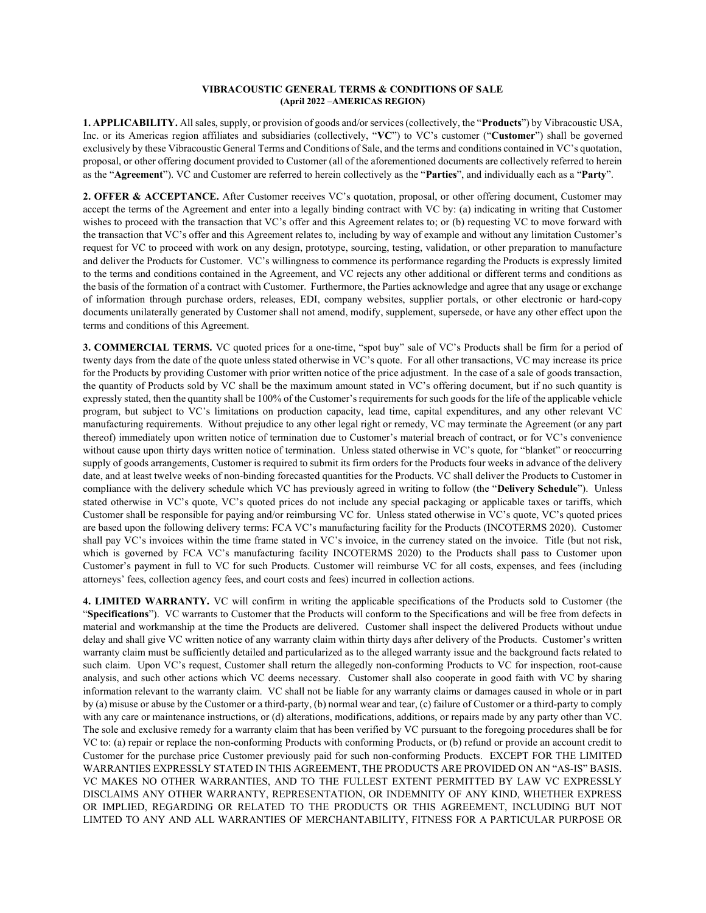## VIBRACOUSTIC GENERAL TERMS & CONDITIONS OF SALE (April 2022 –AMERICAS REGION)

1. APPLICABILITY. All sales, supply, or provision of goods and/or services (collectively, the "Products") by Vibracoustic USA, Inc. or its Americas region affiliates and subsidiaries (collectively, "VC") to VC's customer ("Customer") shall be governed exclusively by these Vibracoustic General Terms and Conditions of Sale, and the terms and conditions contained in VC's quotation, proposal, or other offering document provided to Customer (all of the aforementioned documents are collectively referred to herein as the "Agreement"). VC and Customer are referred to herein collectively as the "Parties", and individually each as a "Party".

2. OFFER & ACCEPTANCE. After Customer receives VC's quotation, proposal, or other offering document, Customer may accept the terms of the Agreement and enter into a legally binding contract with VC by: (a) indicating in writing that Customer wishes to proceed with the transaction that VC's offer and this Agreement relates to; or (b) requesting VC to move forward with the transaction that VC's offer and this Agreement relates to, including by way of example and without any limitation Customer's request for VC to proceed with work on any design, prototype, sourcing, testing, validation, or other preparation to manufacture and deliver the Products for Customer. VC's willingness to commence its performance regarding the Products is expressly limited to the terms and conditions contained in the Agreement, and VC rejects any other additional or different terms and conditions as the basis of the formation of a contract with Customer. Furthermore, the Parties acknowledge and agree that any usage or exchange of information through purchase orders, releases, EDI, company websites, supplier portals, or other electronic or hard-copy documents unilaterally generated by Customer shall not amend, modify, supplement, supersede, or have any other effect upon the terms and conditions of this Agreement.

3. COMMERCIAL TERMS. VC quoted prices for a one-time, "spot buy" sale of VC's Products shall be firm for a period of twenty days from the date of the quote unless stated otherwise in VC's quote. For all other transactions, VC may increase its price for the Products by providing Customer with prior written notice of the price adjustment. In the case of a sale of goods transaction, the quantity of Products sold by VC shall be the maximum amount stated in VC's offering document, but if no such quantity is expressly stated, then the quantity shall be 100% of the Customer's requirements for such goods for the life of the applicable vehicle program, but subject to VC's limitations on production capacity, lead time, capital expenditures, and any other relevant VC manufacturing requirements. Without prejudice to any other legal right or remedy, VC may terminate the Agreement (or any part thereof) immediately upon written notice of termination due to Customer's material breach of contract, or for VC's convenience without cause upon thirty days written notice of termination. Unless stated otherwise in VC's quote, for "blanket" or reoccurring supply of goods arrangements, Customer is required to submit its firm orders for the Products four weeks in advance of the delivery date, and at least twelve weeks of non-binding forecasted quantities for the Products. VC shall deliver the Products to Customer in compliance with the delivery schedule which VC has previously agreed in writing to follow (the "Delivery Schedule"). Unless stated otherwise in VC's quote, VC's quoted prices do not include any special packaging or applicable taxes or tariffs, which Customer shall be responsible for paying and/or reimbursing VC for. Unless stated otherwise in VC's quote, VC's quoted prices are based upon the following delivery terms: FCA VC's manufacturing facility for the Products (INCOTERMS 2020). Customer shall pay VC's invoices within the time frame stated in VC's invoice, in the currency stated on the invoice. Title (but not risk, which is governed by FCA VC's manufacturing facility INCOTERMS 2020) to the Products shall pass to Customer upon Customer's payment in full to VC for such Products. Customer will reimburse VC for all costs, expenses, and fees (including attorneys' fees, collection agency fees, and court costs and fees) incurred in collection actions.

4. LIMITED WARRANTY. VC will confirm in writing the applicable specifications of the Products sold to Customer (the "Specifications"). VC warrants to Customer that the Products will conform to the Specifications and will be free from defects in material and workmanship at the time the Products are delivered. Customer shall inspect the delivered Products without undue delay and shall give VC written notice of any warranty claim within thirty days after delivery of the Products. Customer's written warranty claim must be sufficiently detailed and particularized as to the alleged warranty issue and the background facts related to such claim. Upon VC's request, Customer shall return the allegedly non-conforming Products to VC for inspection, root-cause analysis, and such other actions which VC deems necessary. Customer shall also cooperate in good faith with VC by sharing information relevant to the warranty claim. VC shall not be liable for any warranty claims or damages caused in whole or in part by (a) misuse or abuse by the Customer or a third-party, (b) normal wear and tear, (c) failure of Customer or a third-party to comply with any care or maintenance instructions, or (d) alterations, modifications, additions, or repairs made by any party other than VC. The sole and exclusive remedy for a warranty claim that has been verified by VC pursuant to the foregoing procedures shall be for VC to: (a) repair or replace the non-conforming Products with conforming Products, or (b) refund or provide an account credit to Customer for the purchase price Customer previously paid for such non-conforming Products. EXCEPT FOR THE LIMITED WARRANTIES EXPRESSLY STATED IN THIS AGREEMENT, THE PRODUCTS ARE PROVIDED ON AN "AS-IS" BASIS. VC MAKES NO OTHER WARRANTIES, AND TO THE FULLEST EXTENT PERMITTED BY LAW VC EXPRESSLY DISCLAIMS ANY OTHER WARRANTY, REPRESENTATION, OR INDEMNITY OF ANY KIND, WHETHER EXPRESS OR IMPLIED, REGARDING OR RELATED TO THE PRODUCTS OR THIS AGREEMENT, INCLUDING BUT NOT LIMTED TO ANY AND ALL WARRANTIES OF MERCHANTABILITY, FITNESS FOR A PARTICULAR PURPOSE OR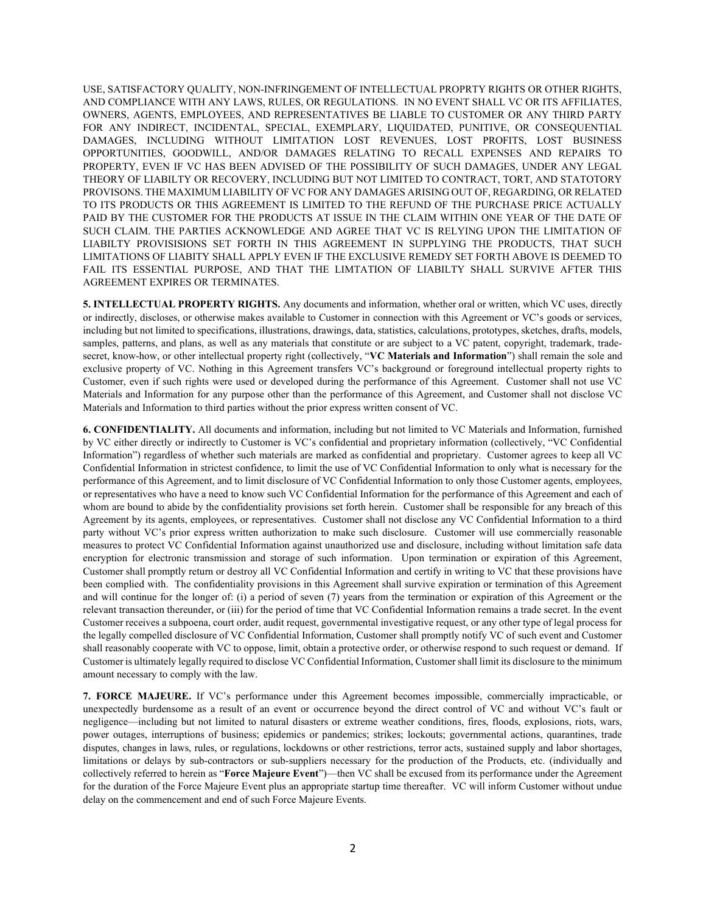USE, SATISFACTORY QUALITY, NON-INFRINGEMENT OF INTELLECTUAL PROPRTY RIGHTS OR OTHER RIGHTS, AND COMPLIANCE WITH ANY LAWS, RULES, OR REGULATIONS. IN NO EVENT SHALL VC OR ITS AFFILIATES, OWNERS, AGENTS, EMPLOYEES, AND REPRESENTATIVES BE LIABLE TO CUSTOMER OR ANY THIRD PARTY FOR ANY INDIRECT, INCIDENTAL, SPECIAL, EXEMPLARY, LIQUIDATED, PUNITIVE, OR CONSEQUENTIAL DAMAGES, INCLUDING WITHOUT LIMITATION LOST REVENUES, LOST PROFITS, LOST BUSINESS OPPORTUNITIES, GOODWILL, AND/OR DAMAGES RELATING TO RECALL EXPENSES AND REPAIRS TO PROPERTY, EVEN IF VC HAS BEEN ADVISED OF THE POSSIBILITY OF SUCH DAMAGES, UNDER ANY LEGAL THEORY OF LIABILTY OR RECOVERY, INCLUDING BUT NOT LIMITED TO CONTRACT, TORT, AND STATOTORY PROVISONS. THE MAXIMUM LIABILITY OF VC FOR ANY DAMAGES ARISING OUT OF, REGARDING, OR RELATED TO ITS PRODUCTS OR THIS AGREEMENT IS LIMITED TO THE REFUND OF THE PURCHASE PRICE ACTUALLY PAID BY THE CUSTOMER FOR THE PRODUCTS AT ISSUE IN THE CLAIM WITHIN ONE YEAR OF THE DATE OF SUCH CLAIM. THE PARTIES ACKNOWLEDGE AND AGREE THAT VC IS RELYING UPON THE LIMITATION OF LIABILTY PROVISISIONS SET FORTH IN THIS AGREEMENT IN SUPPLYING THE PRODUCTS, THAT SUCH LIMITATIONS OF LIABITY SHALL APPLY EVEN IF THE EXCLUSIVE REMEDY SET FORTH ABOVE IS DEEMED TO FAIL ITS ESSENTIAL PURPOSE, AND THAT THE LIMTATION OF LIABILTY SHALL SURVIVE AFTER THIS AGREEMENT EXPIRES OR TERMINATES.

5. INTELLECTUAL PROPERTY RIGHTS. Any documents and information, whether oral or written, which VC uses, directly or indirectly, discloses, or otherwise makes available to Customer in connection with this Agreement or VC's goods or services, including but not limited to specifications, illustrations, drawings, data, statistics, calculations, prototypes, sketches, drafts, models, samples, patterns, and plans, as well as any materials that constitute or are subject to a VC patent, copyright, trademark, tradesecret, know-how, or other intellectual property right (collectively, "VC Materials and Information") shall remain the sole and exclusive property of VC. Nothing in this Agreement transfers VC's background or foreground intellectual property rights to Customer, even if such rights were used or developed during the performance of this Agreement. Customer shall not use VC Materials and Information for any purpose other than the performance of this Agreement, and Customer shall not disclose VC Materials and Information to third parties without the prior express written consent of VC.

6. CONFIDENTIALITY. All documents and information, including but not limited to VC Materials and Information, furnished by VC either directly or indirectly to Customer is VC's confidential and proprietary information (collectively, "VC Confidential Information") regardless of whether such materials are marked as confidential and proprietary. Customer agrees to keep all VC Confidential Information in strictest confidence, to limit the use of VC Confidential Information to only what is necessary for the performance of this Agreement, and to limit disclosure of VC Confidential Information to only those Customer agents, employees, or representatives who have a need to know such VC Confidential Information for the performance of this Agreement and each of whom are bound to abide by the confidentiality provisions set forth herein. Customer shall be responsible for any breach of this Agreement by its agents, employees, or representatives. Customer shall not disclose any VC Confidential Information to a third party without VC's prior express written authorization to make such disclosure. Customer will use commercially reasonable measures to protect VC Confidential Information against unauthorized use and disclosure, including without limitation safe data encryption for electronic transmission and storage of such information. Upon termination or expiration of this Agreement, Customer shall promptly return or destroy all VC Confidential Information and certify in writing to VC that these provisions have been complied with. The confidentiality provisions in this Agreement shall survive expiration or termination of this Agreement and will continue for the longer of: (i) a period of seven (7) years from the termination or expiration of this Agreement or the relevant transaction thereunder, or (iii) for the period of time that VC Confidential Information remains a trade secret. In the event Customer receives a subpoena, court order, audit request, governmental investigative request, or any other type of legal process for the legally compelled disclosure of VC Confidential Information, Customer shall promptly notify VC of such event and Customer shall reasonably cooperate with VC to oppose, limit, obtain a protective order, or otherwise respond to such request or demand. If Customer is ultimately legally required to disclose VC Confidential Information, Customer shall limit its disclosure to the minimum amount necessary to comply with the law.

7. FORCE MAJEURE. If VC's performance under this Agreement becomes impossible, commercially impracticable, or unexpectedly burdensome as a result of an event or occurrence beyond the direct control of VC and without VC's fault or negligence—including but not limited to natural disasters or extreme weather conditions, fires, floods, explosions, riots, wars, power outages, interruptions of business; epidemics or pandemics; strikes; lockouts; governmental actions, quarantines, trade disputes, changes in laws, rules, or regulations, lockdowns or other restrictions, terror acts, sustained supply and labor shortages, limitations or delays by sub-contractors or sub-suppliers necessary for the production of the Products, etc. (individually and collectively referred to herein as "Force Majeure Event")—then VC shall be excused from its performance under the Agreement for the duration of the Force Majeure Event plus an appropriate startup time thereafter. VC will inform Customer without undue delay on the commencement and end of such Force Majeure Events.